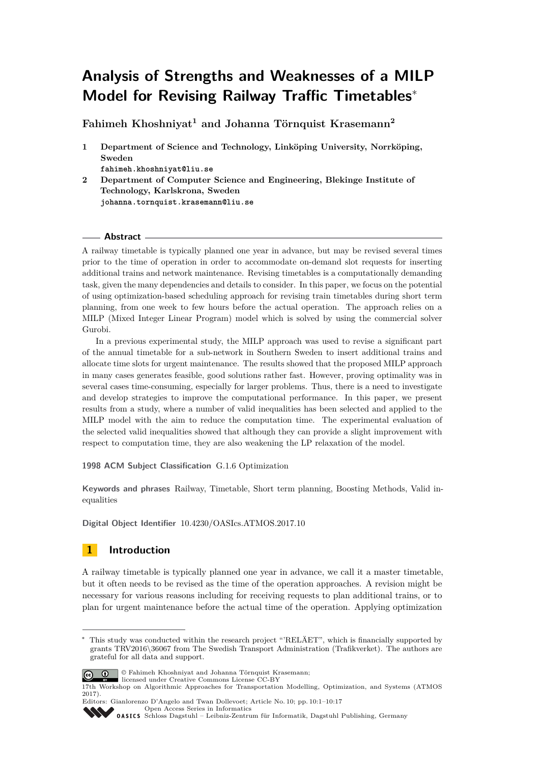# **Analysis of Strengths and Weaknesses of a MILP Model for Revising Railway Traffic Timetables**<sup>∗</sup>

**Fahimeh Khoshniyat<sup>1</sup> and Johanna Törnquist Krasemann<sup>2</sup>**

**1 Department of Science and Technology, Linköping University, Norrköping, Sweden**

**fahimeh.khoshniyat@liu.se**

**2 Department of Computer Science and Engineering, Blekinge Institute of Technology, Karlskrona, Sweden johanna.tornquist.krasemann@liu.se**

### **Abstract**

A railway timetable is typically planned one year in advance, but may be revised several times prior to the time of operation in order to accommodate on-demand slot requests for inserting additional trains and network maintenance. Revising timetables is a computationally demanding task, given the many dependencies and details to consider. In this paper, we focus on the potential of using optimization-based scheduling approach for revising train timetables during short term planning, from one week to few hours before the actual operation. The approach relies on a MILP (Mixed Integer Linear Program) model which is solved by using the commercial solver Gurobi.

In a previous experimental study, the MILP approach was used to revise a significant part of the annual timetable for a sub-network in Southern Sweden to insert additional trains and allocate time slots for urgent maintenance. The results showed that the proposed MILP approach in many cases generates feasible, good solutions rather fast. However, proving optimality was in several cases time-consuming, especially for larger problems. Thus, there is a need to investigate and develop strategies to improve the computational performance. In this paper, we present results from a study, where a number of valid inequalities has been selected and applied to the MILP model with the aim to reduce the computation time. The experimental evaluation of the selected valid inequalities showed that although they can provide a slight improvement with respect to computation time, they are also weakening the LP relaxation of the model.

**1998 ACM Subject Classification** G.1.6 Optimization

**Keywords and phrases** Railway, Timetable, Short term planning, Boosting Methods, Valid inequalities

**Digital Object Identifier** [10.4230/OASIcs.ATMOS.2017.10](http://dx.doi.org/10.4230/OASIcs.ATMOS.2017.10)

# **1 Introduction**

A railway timetable is typically planned one year in advance, we call it a master timetable, but it often needs to be revised as the time of the operation approaches. A revision might be necessary for various reasons including for receiving requests to plan additional trains, or to plan for urgent maintenance before the actual time of the operation. Applying optimization

This study was conducted within the research project "'RELÄET", which is financially supported by grants TRV2016\36067 from The Swedish Transport Administration (Trafikverket). The authors are grateful for all data and support.



© Fahimeh Khoshniyat and Johanna Törnquist Krasemann; licensed under Creative Commons License CC-BY

Editors: Gianlorenzo D'Angelo and Twan Dollevoet; Article No. 10; pp. 10:1–10[:17](#page-16-0) [Open Access Series in Informatics](http://www.dagstuhl.de/oasics/)

<sup>17</sup>th Workshop on Algorithmic Approaches for Transportation Modelling, Optimization, and Systems (ATMOS 2017).

[Schloss Dagstuhl – Leibniz-Zentrum für Informatik, Dagstuhl Publishing, Germany](http://www.dagstuhl.de)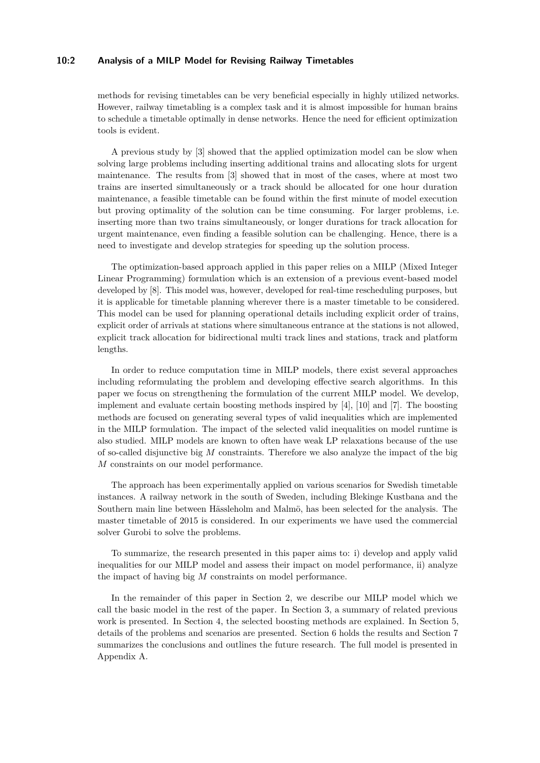### **10:2 Analysis of a MILP Model for Revising Railway Timetables**

methods for revising timetables can be very beneficial especially in highly utilized networks. However, railway timetabling is a complex task and it is almost impossible for human brains to schedule a timetable optimally in dense networks. Hence the need for efficient optimization tools is evident.

A previous study by [\[3\]](#page-12-0) showed that the applied optimization model can be slow when solving large problems including inserting additional trains and allocating slots for urgent maintenance. The results from [\[3\]](#page-12-0) showed that in most of the cases, where at most two trains are inserted simultaneously or a track should be allocated for one hour duration maintenance, a feasible timetable can be found within the first minute of model execution but proving optimality of the solution can be time consuming. For larger problems, i.e. inserting more than two trains simultaneously, or longer durations for track allocation for urgent maintenance, even finding a feasible solution can be challenging. Hence, there is a need to investigate and develop strategies for speeding up the solution process.

The optimization-based approach applied in this paper relies on a MILP (Mixed Integer Linear Programming) formulation which is an extension of a previous event-based model developed by [\[8\]](#page-12-1). This model was, however, developed for real-time rescheduling purposes, but it is applicable for timetable planning wherever there is a master timetable to be considered. This model can be used for planning operational details including explicit order of trains, explicit order of arrivals at stations where simultaneous entrance at the stations is not allowed, explicit track allocation for bidirectional multi track lines and stations, track and platform lengths.

In order to reduce computation time in MILP models, there exist several approaches including reformulating the problem and developing effective search algorithms. In this paper we focus on strengthening the formulation of the current MILP model. We develop, implement and evaluate certain boosting methods inspired by [\[4\]](#page-12-2), [\[10\]](#page-12-3) and [\[7\]](#page-12-4). The boosting methods are focused on generating several types of valid inequalities which are implemented in the MILP formulation. The impact of the selected valid inequalities on model runtime is also studied. MILP models are known to often have weak LP relaxations because of the use of so-called disjunctive big *M* constraints. Therefore we also analyze the impact of the big *M* constraints on our model performance.

The approach has been experimentally applied on various scenarios for Swedish timetable instances. A railway network in the south of Sweden, including Blekinge Kustbana and the Southern main line between Hässleholm and Malmö, has been selected for the analysis. The master timetable of 2015 is considered. In our experiments we have used the commercial solver Gurobi to solve the problems.

To summarize, the research presented in this paper aims to: i) develop and apply valid inequalities for our MILP model and assess their impact on model performance, ii) analyze the impact of having big *M* constraints on model performance.

In the remainder of this paper in Section 2, we describe our MILP model which we call the basic model in the rest of the paper. In Section 3, a summary of related previous work is presented. In Section 4, the selected boosting methods are explained. In Section 5, details of the problems and scenarios are presented. Section 6 holds the results and Section 7 summarizes the conclusions and outlines the future research. The full model is presented in Appendix [A.](#page-13-0)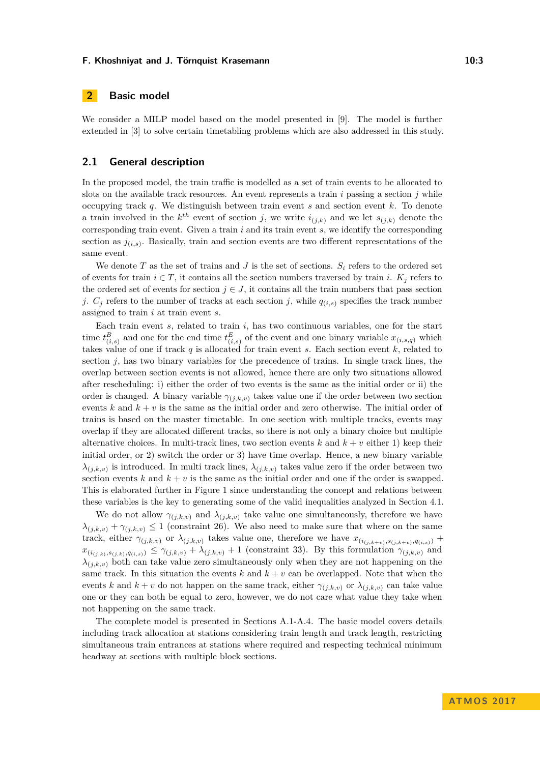# **2 Basic model**

We consider a MILP model based on the model presented in [\[9\]](#page-12-5). The model is further extended in [\[3\]](#page-12-0) to solve certain timetabling problems which are also addressed in this study.

### **2.1 General description**

In the proposed model, the train traffic is modelled as a set of train events to be allocated to slots on the available track resources. An event represents a train  $i$  passing a section  $j$  while occupying track *q*. We distinguish between train event *s* and section event *k*. To denote a train involved in the  $k^{th}$  event of section *j*, we write  $i_{(j,k)}$  and we let  $s_{(j,k)}$  denote the corresponding train event. Given a train *i* and its train event *s*, we identify the corresponding section as  $j_{(i,s)}$ . Basically, train and section events are two different representations of the same event.

We denote  $T$  as the set of trains and  $J$  is the set of sections.  $S_i$  refers to the ordered set of events for train  $i \in T$ , it contains all the section numbers traversed by train *i*.  $K_i$  refers to the ordered set of events for section  $j \in J$ , it contains all the train numbers that pass section *j*.  $C_j$  refers to the number of tracks at each section *j*, while  $q_{(i,s)}$  specifies the track number assigned to train *i* at train event *s*.

Each train event *s*, related to train *i*, has two continuous variables, one for the start time  $t^{B}_{(i,s)}$  and one for the end time  $t^{E}_{(i,s)}$  of the event and one binary variable  $x_{(i,s,q)}$  which takes value of one if track *q* is allocated for train event *s*. Each section event *k*, related to section *j*, has two binary variables for the precedence of trains. In single track lines, the overlap between section events is not allowed, hence there are only two situations allowed after rescheduling: i) either the order of two events is the same as the initial order or ii) the order is changed. A binary variable  $\gamma_{(j,k,v)}$  takes value one if the order between two section events  $k$  and  $k + v$  is the same as the initial order and zero otherwise. The initial order of trains is based on the master timetable. In one section with multiple tracks, events may overlap if they are allocated different tracks, so there is not only a binary choice but multiple alternative choices. In multi-track lines, two section events  $k$  and  $k + v$  either 1) keep their initial order, or 2) switch the order or 3) have time overlap. Hence, a new binary variable  $\lambda_{(j,k,v)}$  is introduced. In multi track lines,  $\lambda_{(j,k,v)}$  takes value zero if the order between two section events  $k$  and  $k + v$  is the same as the initial order and one if the order is swapped. This is elaborated further in Figure [1](#page-3-0) since understanding the concept and relations between these variables is the key to generating some of the valid inequalities analyzed in Section [4.1.](#page-4-0)

We do not allow  $\gamma_{(j,k,v)}$  and  $\lambda_{(j,k,v)}$  take value one simultaneously, therefore we have  $\lambda_{(j,k,v)} + \gamma_{(j,k,v)} \leq 1$  (constraint [26\)](#page-14-0). We also need to make sure that where on the same track, either  $\gamma_{(j,k,v)}$  or  $\lambda_{(j,k,v)}$  takes value one, therefore we have  $x_{(i_{(j,k+v)},s_{(j,k+v)},q_{(i,s)})}$  +  $x_{(i_{(j,k)},s_{(j,k)},q_{(i,s)})} \leq \gamma_{(j,k,v)} + \lambda_{(j,k,v)} + 1$  (constraint [33\)](#page-15-0). By this formulation  $\gamma_{(j,k,v)}$  and  $\lambda_{(i,k,n)}$  both can take value zero simultaneously only when they are not happening on the same track. In this situation the events  $k$  and  $k + v$  can be overlapped. Note that when the events *k* and  $k + v$  do not happen on the same track, either  $\gamma_{(j,k,v)}$  or  $\lambda_{(j,k,v)}$  can take value one or they can both be equal to zero, however, we do not care what value they take when not happening on the same track.

The complete model is presented in Sections A.1-A.4. The basic model covers details including track allocation at stations considering train length and track length, restricting simultaneous train entrances at stations where required and respecting technical minimum headway at sections with multiple block sections.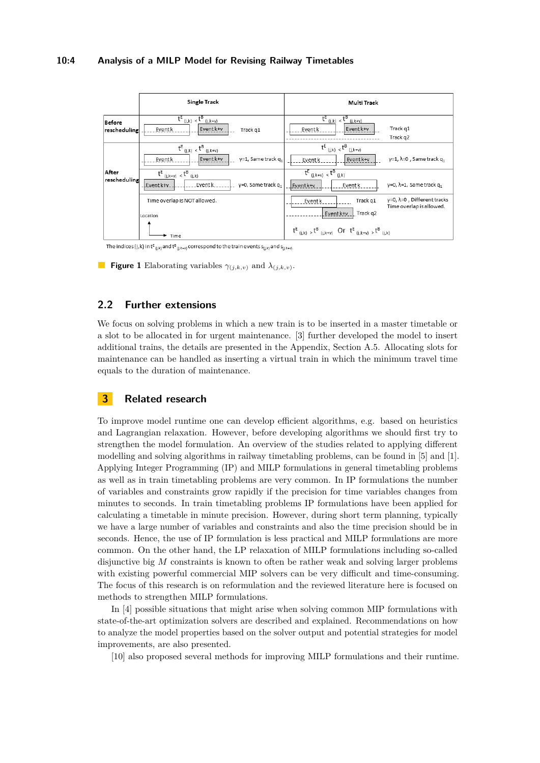#### **10:4 Analysis of a MILP Model for Revising Railway Timetables**

<span id="page-3-0"></span>

The indices (j,k) in  $t^E_{(j,k)}$  and  $t^B_{(j,k+v)}$  correspond to the train events  $s_{(j,k)}$  and  $s_{(j,k+v)}$ 

**Figure 1** Elaborating variables  $\gamma_{(j,k,v)}$  and  $\lambda_{(j,k,v)}$ .

# **2.2 Further extensions**

We focus on solving problems in which a new train is to be inserted in a master timetable or a slot to be allocated in for urgent maintenance. [\[3\]](#page-12-0) further developed the model to insert additional trains, the details are presented in the Appendix, Section A.5. Allocating slots for maintenance can be handled as inserting a virtual train in which the minimum travel time equals to the duration of maintenance.

# **3 Related research**

To improve model runtime one can develop efficient algorithms, e.g. based on heuristics and Lagrangian relaxation. However, before developing algorithms we should first try to strengthen the model formulation. An overview of the studies related to applying different modelling and solving algorithms in railway timetabling problems, can be found in [\[5\]](#page-12-6) and [\[1\]](#page-12-7). Applying Integer Programming (IP) and MILP formulations in general timetabling problems as well as in train timetabling problems are very common. In IP formulations the number of variables and constraints grow rapidly if the precision for time variables changes from minutes to seconds. In train timetabling problems IP formulations have been applied for calculating a timetable in minute precision. However, during short term planning, typically we have a large number of variables and constraints and also the time precision should be in seconds. Hence, the use of IP formulation is less practical and MILP formulations are more common. On the other hand, the LP relaxation of MILP formulations including so-called disjunctive big *M* constraints is known to often be rather weak and solving larger problems with existing powerful commercial MIP solvers can be very difficult and time-consuming. The focus of this research is on reformulation and the reviewed literature here is focused on methods to strengthen MILP formulations.

In [\[4\]](#page-12-2) possible situations that might arise when solving common MIP formulations with state-of-the-art optimization solvers are described and explained. Recommendations on how to analyze the model properties based on the solver output and potential strategies for model improvements, are also presented.

[\[10\]](#page-12-3) also proposed several methods for improving MILP formulations and their runtime.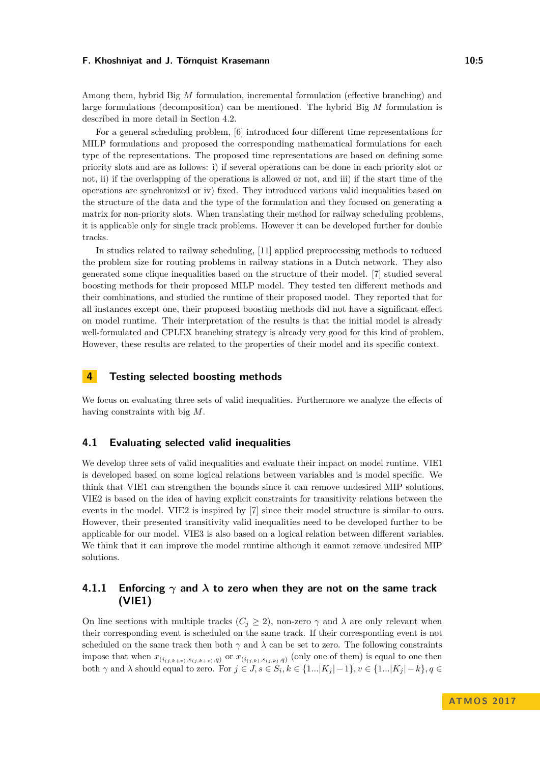Among them, hybrid Big *M* formulation, incremental formulation (effective branching) and large formulations (decomposition) can be mentioned. The hybrid Big *M* formulation is described in more detail in Section [4.2.](#page-5-0)

For a general scheduling problem, [\[6\]](#page-12-8) introduced four different time representations for MILP formulations and proposed the corresponding mathematical formulations for each type of the representations. The proposed time representations are based on defining some priority slots and are as follows: i) if several operations can be done in each priority slot or not, ii) if the overlapping of the operations is allowed or not, and iii) if the start time of the operations are synchronized or iv) fixed. They introduced various valid inequalities based on the structure of the data and the type of the formulation and they focused on generating a matrix for non-priority slots. When translating their method for railway scheduling problems, it is applicable only for single track problems. However it can be developed further for double tracks.

In studies related to railway scheduling, [\[11\]](#page-12-9) applied preprocessing methods to reduced the problem size for routing problems in railway stations in a Dutch network. They also generated some clique inequalities based on the structure of their model. [\[7\]](#page-12-4) studied several boosting methods for their proposed MILP model. They tested ten different methods and their combinations, and studied the runtime of their proposed model. They reported that for all instances except one, their proposed boosting methods did not have a significant effect on model runtime. Their interpretation of the results is that the initial model is already well-formulated and CPLEX branching strategy is already very good for this kind of problem. However, these results are related to the properties of their model and its specific context.

# **4 Testing selected boosting methods**

We focus on evaluating three sets of valid inequalities. Furthermore we analyze the effects of having constraints with big *M*.

### <span id="page-4-0"></span>**4.1 Evaluating selected valid inequalities**

We develop three sets of valid inequalities and evaluate their impact on model runtime. VIE1 is developed based on some logical relations between variables and is model specific. We think that VIE1 can strengthen the bounds since it can remove undesired MIP solutions. VIE2 is based on the idea of having explicit constraints for transitivity relations between the events in the model. VIE2 is inspired by [\[7\]](#page-12-4) since their model structure is similar to ours. However, their presented transitivity valid inequalities need to be developed further to be applicable for our model. VIE3 is also based on a logical relation between different variables. We think that it can improve the model runtime although it cannot remove undesired MIP solutions.

# **4.1.1 Enforcing** *γ* **and** *λ* **to zero when they are not on the same track (VIE1)**

On line sections with multiple tracks  $(C_j \geq 2)$ , non-zero  $\gamma$  and  $\lambda$  are only relevant when their corresponding event is scheduled on the same track. If their corresponding event is not scheduled on the same track then both  $\gamma$  and  $\lambda$  can be set to zero. The following constraints impose that when  $x_{(i_{(j,k+v)},s_{(j,k+v)},q)}$  or  $x_{(i_{(j,k)},s_{(j,k)},q)}$  (only one of them) is equal to one then both  $\gamma$  and  $\lambda$  should equal to zero. For  $j \in J$ ,  $s \in S_i$ ,  $k \in \{1...|K_j|-1\}$ ,  $v \in \{1...|K_j|-k\}$ ,  $q \in$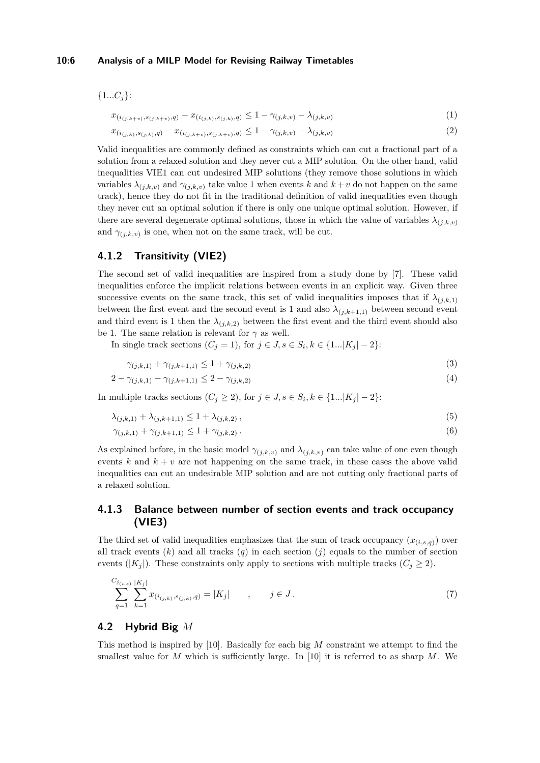#### **10:6 Analysis of a MILP Model for Revising Railway Timetables**

{1*...Cj*}:

$$
x_{(i_{(j,k+v)},s_{(j,k+v)},q)} - x_{(i_{(j,k)},s_{(j,k)},q)} \leq 1 - \gamma_{(j,k,v)} - \lambda_{(j,k,v)}
$$
\n(1)

$$
x_{(i_{(j,k)},s_{(j,k)},q)} - x_{(i_{(j,k+v)},s_{(j,k+v)},q)} \le 1 - \gamma_{(j,k,v)} - \lambda_{(j,k,v)}
$$
\n
$$
(2)
$$

Valid inequalities are commonly defined as constraints which can cut a fractional part of a solution from a relaxed solution and they never cut a MIP solution. On the other hand, valid inequalities VIE1 can cut undesired MIP solutions (they remove those solutions in which variables  $\lambda_{(i,k,v)}$  and  $\gamma_{(i,k,v)}$  take value 1 when events k and  $k+v$  do not happen on the same track), hence they do not fit in the traditional definition of valid inequalities even though they never cut an optimal solution if there is only one unique optimal solution. However, if there are several degenerate optimal solutions, those in which the value of variables  $\lambda_{(i,k,v)}$ and  $\gamma_{(j,k,v)}$  is one, when not on the same track, will be cut.

# **4.1.2 Transitivity (VIE2)**

The second set of valid inequalities are inspired from a study done by [\[7\]](#page-12-4). These valid inequalities enforce the implicit relations between events in an explicit way. Given three successive events on the same track, this set of valid inequalities imposes that if  $\lambda_{(j,k,1)}$ between the first event and the second event is 1 and also  $\lambda_{(j,k+1,1)}$  between second event and third event is 1 then the  $\lambda_{(j,k,2)}$  between the first event and the third event should also be 1. The same relation is relevant for  $\gamma$  as well.

In single track sections  $(C_j = 1)$ , for  $j \in J$ ,  $s \in S_i$ ,  $k \in \{1...|K_j|-2\}$ :

<span id="page-5-2"></span><span id="page-5-1"></span>
$$
\gamma_{(j,k,1)} + \gamma_{(j,k+1,1)} \le 1 + \gamma_{(j,k,2)} \tag{3}
$$

$$
2 - \gamma_{(j,k,1)} - \gamma_{(j,k+1,1)} \le 2 - \gamma_{(j,k,2)} \tag{4}
$$

In multiple tracks sections  $(C_j \geq 2)$ , for  $j \in J$ ,  $s \in S_i$ ,  $k \in \{1...|K_j|-2\}$ :

$$
\lambda_{(j,k,1)} + \lambda_{(j,k+1,1)} \le 1 + \lambda_{(j,k,2)}\,,\tag{5}
$$

$$
\gamma_{(j,k,1)} + \gamma_{(j,k+1,1)} \le 1 + \gamma_{(j,k,2)}.
$$
\n(6)

As explained before, in the basic model  $\gamma_{(j,k,v)}$  and  $\lambda_{(j,k,v)}$  can take value of one even though events  $k$  and  $k + v$  are not happening on the same track, in these cases the above valid inequalities can cut an undesirable MIP solution and are not cutting only fractional parts of a relaxed solution.

# **4.1.3 Balance between number of section events and track occupancy (VIE3)**

The third set of valid inequalities emphasizes that the sum of track occupancy  $(x_{(i,s,q)})$  over all track events  $(k)$  and all tracks  $(q)$  in each section  $(j)$  equals to the number of section events ( $|K_i|$ ). These constraints only apply to sections with multiple tracks ( $C_i \geq 2$ ).

$$
\sum_{q=1}^{C_{j_{(i,s)}}} \sum_{k=1}^{|K_j|} x_{(i_{(j,k)}, s_{(j,k)}, q)} = |K_j| \qquad , \qquad j \in J.
$$
\n(7)

### <span id="page-5-0"></span>**4.2 Hybrid Big** *M*

This method is inspired by [\[10\]](#page-12-3). Basically for each big *M* constraint we attempt to find the smallest value for *M* which is sufficiently large. In [\[10\]](#page-12-3) it is referred to as sharp *M*. We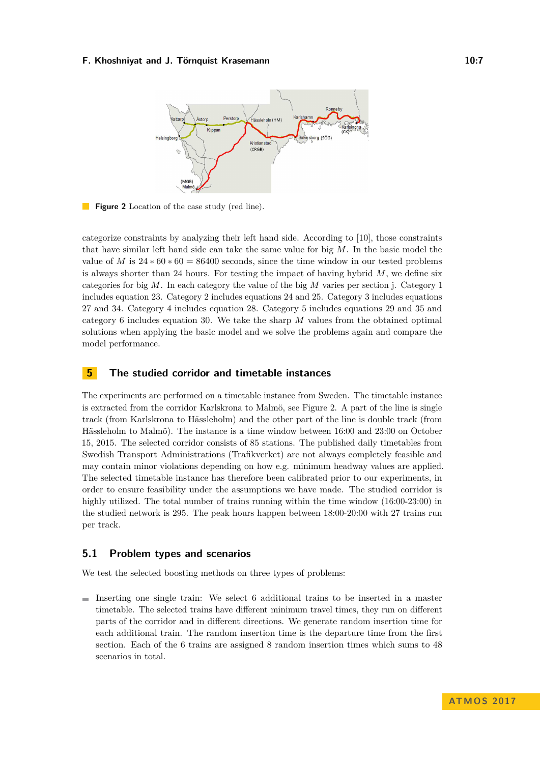<span id="page-6-0"></span>

**Figure 2** Location of the case study (red line).

categorize constraints by analyzing their left hand side. According to [\[10\]](#page-12-3), those constraints that have similar left hand side can take the same value for big *M*. In the basic model the value of *M* is  $24 * 60 * 60 = 86400$  seconds, since the time window in our tested problems is always shorter than 24 hours. For testing the impact of having hybrid  $M$ , we define six categories for big *M*. In each category the value of the big *M* varies per section j. Category 1 includes equation [23.](#page-14-1) Category 2 includes equations [24](#page-14-2) and [25.](#page-14-3) Category 3 includes equations [27](#page-14-4) and [34.](#page-15-1) Category 4 includes equation [28.](#page-15-2) Category 5 includes equations [29](#page-15-3) and [35](#page-15-4) and category 6 includes equation [30.](#page-15-5) We take the sharp *M* values from the obtained optimal solutions when applying the basic model and we solve the problems again and compare the model performance.

# <span id="page-6-1"></span>**5 The studied corridor and timetable instances**

The experiments are performed on a timetable instance from Sweden. The timetable instance is extracted from the corridor Karlskrona to Malmö, see Figure [2.](#page-6-0) A part of the line is single track (from Karlskrona to Hässleholm) and the other part of the line is double track (from Hässleholm to Malmö). The instance is a time window between 16:00 and 23:00 on October 15, 2015. The selected corridor consists of 85 stations. The published daily timetables from Swedish Transport Administrations (Trafikverket) are not always completely feasible and may contain minor violations depending on how e.g. minimum headway values are applied. The selected timetable instance has therefore been calibrated prior to our experiments, in order to ensure feasibility under the assumptions we have made. The studied corridor is highly utilized. The total number of trains running within the time window  $(16:00-23:00)$  in the studied network is 295. The peak hours happen between 18:00-20:00 with 27 trains run per track.

### **5.1 Problem types and scenarios**

We test the selected boosting methods on three types of problems:

 $\blacksquare$  Inserting one single train: We select 6 additional trains to be inserted in a master timetable. The selected trains have different minimum travel times, they run on different parts of the corridor and in different directions. We generate random insertion time for each additional train. The random insertion time is the departure time from the first section. Each of the 6 trains are assigned 8 random insertion times which sums to 48 scenarios in total.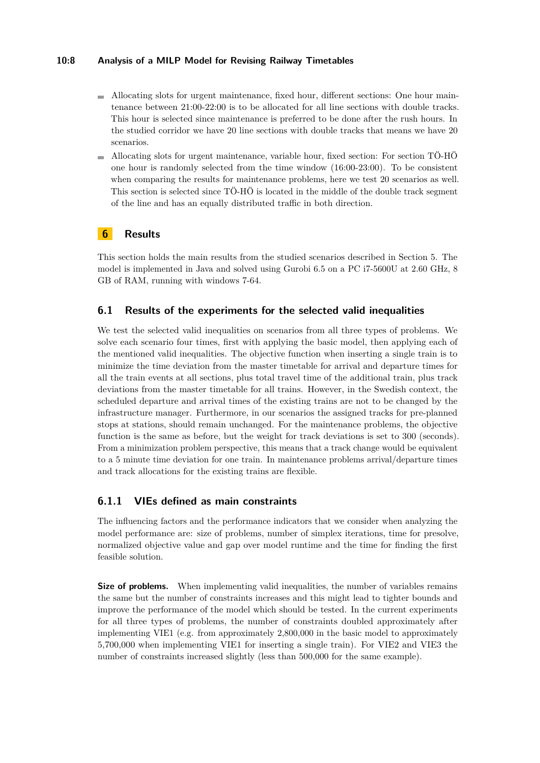### **10:8 Analysis of a MILP Model for Revising Railway Timetables**

- Allocating slots for urgent maintenance, fixed hour, different sections: One hour maintenance between 21:00-22:00 is to be allocated for all line sections with double tracks. This hour is selected since maintenance is preferred to be done after the rush hours. In the studied corridor we have 20 line sections with double tracks that means we have 20 scenarios.
- Allocating slots for urgent maintenance, variable hour, fixed section: For section TÖ-HÖ one hour is randomly selected from the time window (16:00-23:00). To be consistent when comparing the results for maintenance problems, here we test 20 scenarios as well. This section is selected since TÖ-HÖ is located in the middle of the double track segment of the line and has an equally distributed traffic in both direction.

# **6 Results**

This section holds the main results from the studied scenarios described in Section [5.](#page-6-1) The model is implemented in Java and solved using Gurobi 6.5 on a PC i7-5600U at 2.60 GHz, 8 GB of RAM, running with windows 7-64.

# **6.1 Results of the experiments for the selected valid inequalities**

We test the selected valid inequalities on scenarios from all three types of problems. We solve each scenario four times, first with applying the basic model, then applying each of the mentioned valid inequalities. The objective function when inserting a single train is to minimize the time deviation from the master timetable for arrival and departure times for all the train events at all sections, plus total travel time of the additional train, plus track deviations from the master timetable for all trains. However, in the Swedish context, the scheduled departure and arrival times of the existing trains are not to be changed by the infrastructure manager. Furthermore, in our scenarios the assigned tracks for pre-planned stops at stations, should remain unchanged. For the maintenance problems, the objective function is the same as before, but the weight for track deviations is set to 300 (seconds). From a minimization problem perspective, this means that a track change would be equivalent to a 5 minute time deviation for one train. In maintenance problems arrival/departure times and track allocations for the existing trains are flexible.

# **6.1.1 VIEs defined as main constraints**

The influencing factors and the performance indicators that we consider when analyzing the model performance are: size of problems, number of simplex iterations, time for presolve, normalized objective value and gap over model runtime and the time for finding the first feasible solution.

**Size of problems.** When implementing valid inequalities, the number of variables remains the same but the number of constraints increases and this might lead to tighter bounds and improve the performance of the model which should be tested. In the current experiments for all three types of problems, the number of constraints doubled approximately after implementing VIE1 (e.g. from approximately 2,800,000 in the basic model to approximately 5,700,000 when implementing VIE1 for inserting a single train). For VIE2 and VIE3 the number of constraints increased slightly (less than 500,000 for the same example).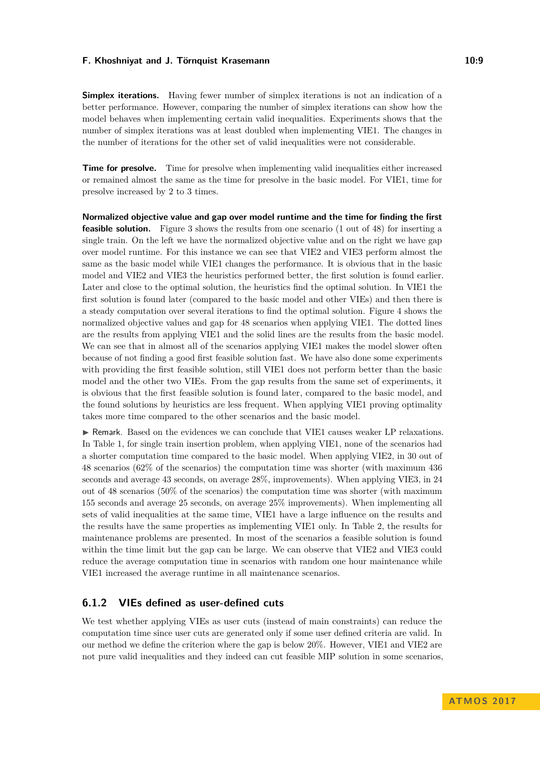**Simplex iterations.** Having fewer number of simplex iterations is not an indication of a better performance. However, comparing the number of simplex iterations can show how the model behaves when implementing certain valid inequalities. Experiments shows that the number of simplex iterations was at least doubled when implementing VIE1. The changes in the number of iterations for the other set of valid inequalities were not considerable.

**Time for presolve.** Time for presolve when implementing valid inequalities either increased or remained almost the same as the time for presolve in the basic model. For VIE1, time for presolve increased by 2 to 3 times.

**Normalized objective value and gap over model runtime and the time for finding the first feasible solution.** Figure [3](#page-9-0) shows the results from one scenario (1 out of 48) for inserting a single train. On the left we have the normalized objective value and on the right we have gap over model runtime. For this instance we can see that VIE2 and VIE3 perform almost the same as the basic model while VIE1 changes the performance. It is obvious that in the basic model and VIE2 and VIE3 the heuristics performed better, the first solution is found earlier. Later and close to the optimal solution, the heuristics find the optimal solution. In VIE1 the first solution is found later (compared to the basic model and other VIEs) and then there is a steady computation over several iterations to find the optimal solution. Figure [4](#page-9-1) shows the normalized objective values and gap for 48 scenarios when applying VIE1. The dotted lines are the results from applying VIE1 and the solid lines are the results from the basic model. We can see that in almost all of the scenarios applying VIE1 makes the model slower often because of not finding a good first feasible solution fast. We have also done some experiments with providing the first feasible solution, still VIE1 does not perform better than the basic model and the other two VIEs. From the gap results from the same set of experiments, it is obvious that the first feasible solution is found later, compared to the basic model, and the found solutions by heuristics are less frequent. When applying VIE1 proving optimality takes more time compared to the other scenarios and the basic model.

I Remark. Based on the evidences we can conclude that VIE1 causes weaker LP relaxations. In Table [1,](#page-9-2) for single train insertion problem, when applying VIE1, none of the scenarios had a shorter computation time compared to the basic model. When applying VIE2, in 30 out of 48 scenarios (62% of the scenarios) the computation time was shorter (with maximum 436 seconds and average 43 seconds, on average 28%, improvements). When applying VIE3, in 24 out of 48 scenarios (50% of the scenarios) the computation time was shorter (with maximum 155 seconds and average 25 seconds, on average 25% improvements). When implementing all sets of valid inequalities at the same time, VIE1 have a large influence on the results and the results have the same properties as implementing VIE1 only. In Table [2,](#page-10-0) the results for maintenance problems are presented. In most of the scenarios a feasible solution is found within the time limit but the gap can be large. We can observe that VIE2 and VIE3 could reduce the average computation time in scenarios with random one hour maintenance while VIE1 increased the average runtime in all maintenance scenarios.

# **6.1.2 VIEs defined as user-defined cuts**

We test whether applying VIEs as user cuts (instead of main constraints) can reduce the computation time since user cuts are generated only if some user defined criteria are valid. In our method we define the criterion where the gap is below 20%. However, VIE1 and VIE2 are not pure valid inequalities and they indeed can cut feasible MIP solution in some scenarios,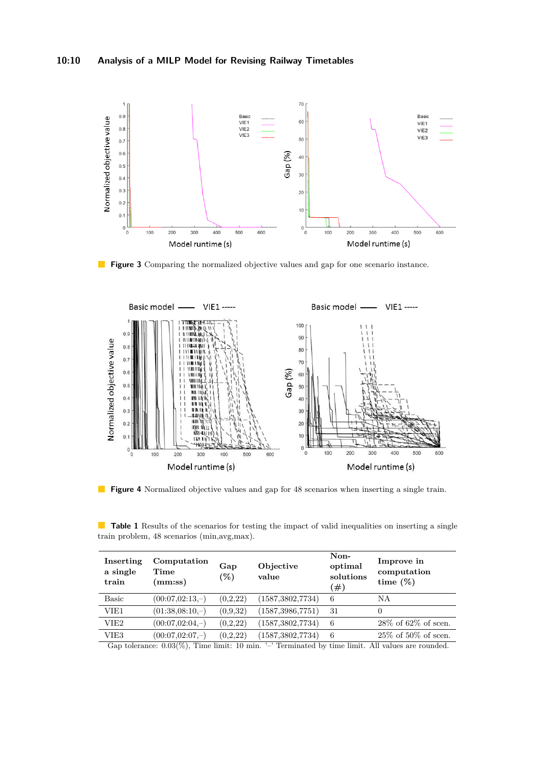<span id="page-9-0"></span>

**Figure 3** Comparing the normalized objective values and gap for one scenario instance.

<span id="page-9-1"></span>

**Figure 4** Normalized objective values and gap for 48 scenarios when inserting a single train.

<span id="page-9-2"></span>**Table 1** Results of the scenarios for testing the impact of valid inequalities on inserting a single train problem, 48 scenarios (min,avg,max).

| Inserting<br>a single<br>train | Computation<br>Time<br>(mm:ss) | Gap<br>$(\%)$ | Objective<br>value | Non-<br>optimal<br>solutions<br>(#) | Improve in<br>computation<br>time $(\%)$ |
|--------------------------------|--------------------------------|---------------|--------------------|-------------------------------------|------------------------------------------|
| <b>Basic</b>                   | $(00:07,02:13,-)$              | (0,2,22)      | (1587, 3802, 7734) | 6                                   | ΝA                                       |
| VIE1                           | $(01:38.08:10,-)$              | (0,9,32)      | (1587, 3986, 7751) | 31                                  | $\theta$                                 |
| VIE <sub>2</sub>               | $(00:07,02:04,-)$              | (0,2,22)      | (1587, 3802, 7734) | 6                                   | $28\%$ of 62\% of scen.                  |
| VIE3                           | $(00:07.02:07,-)$              | (0,2,22)      | (1587, 3802, 7734) | 6                                   | $25\%$ of $50\%$ of scen.                |

Gap tolerance: 0.03(%), Time limit: 10 min. '–' Terminated by time limit. All values are rounded.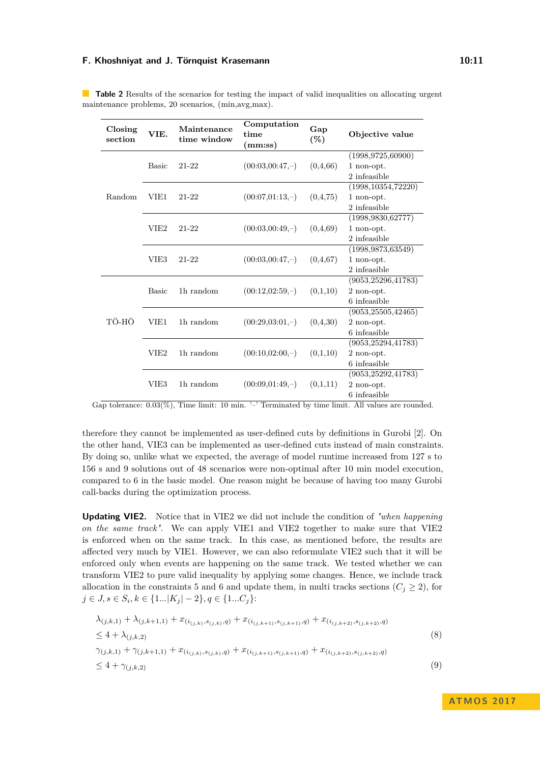| Closing<br>section | VIE.             | Maintenance<br>time window | Computation<br>time<br>(mm:ss) | Gap<br>$(\%)$ | Objective value                |
|--------------------|------------------|----------------------------|--------------------------------|---------------|--------------------------------|
| Random             | <b>Basic</b>     | 21-22                      | $(00:03,00:47,-)$              | (0,4,66)      | (1998, 9725, 60900)            |
|                    |                  |                            |                                |               | 1 non-opt.                     |
|                    |                  |                            |                                |               | 2 infeasible                   |
|                    | VIE1             | 21-22                      | $(00:07,01:13,-)$              | (0,4,75)      | (1998, 10354, 72220)           |
|                    |                  |                            |                                |               | 1 non-opt.                     |
|                    |                  |                            |                                |               | 2 infeasible                   |
|                    | VIE <sub>2</sub> | 21-22                      | $(00:03,00:49,-)$              | (0,4,69)      | (1998, 9830, 62777)            |
|                    |                  |                            |                                |               | 1 non-opt.                     |
|                    |                  |                            |                                |               | 2 infeasible                   |
|                    |                  |                            |                                |               | $\overline{(1998,9873,63549)}$ |
|                    | VIE <sub>3</sub> | 21-22                      | $(00:03,00:47,-)$              | (0,4,67)      | 1 non-opt.                     |
|                    |                  |                            |                                |               | 2 infeasible                   |
| TÖ-HÖ              | <b>Basic</b>     | 1h random                  | $(00:12,02:59,-)$              | (0,1,10)      | (9053, 25296, 41783)           |
|                    |                  |                            |                                |               | 2 non-opt.                     |
|                    |                  |                            |                                |               | 6 infeasible                   |
|                    | VIE1             | 1h random                  | $(00:29:03:01,-)$              | (0,4,30)      | (9053, 25505, 42465)           |
|                    |                  |                            |                                |               | 2 non-opt.                     |
|                    |                  |                            |                                |               | 6 infeasible                   |
|                    | VIE2             | 1h random                  | $(00:10,02:00,-)$              | (0,1,10)      | (9053, 25294, 41783)           |
|                    |                  |                            |                                |               | 2 non-opt.                     |
|                    |                  |                            |                                |               | 6 infeasible                   |
|                    |                  |                            |                                |               | (9053, 25292, 41783)           |
|                    | VIE <sub>3</sub> | 1h random                  | $(00:09:01:49,-)$              | (0,1,11)      | 2 non-opt.                     |
|                    |                  |                            |                                |               | 6 infeasible                   |

<span id="page-10-0"></span>**Table 2** Results of the scenarios for testing the impact of valid inequalities on allocating urgent maintenance problems, 20 scenarios, (min,avg,max).

Gap tolerance:  $0.03\%$ ), Time limit: 10 min.  $\cdot$  Terminated by time limit. All values are rounded.

therefore they cannot be implemented as user-defined cuts by definitions in Gurobi [\[2\]](#page-12-10). On the other hand, VIE3 can be implemented as user-defined cuts instead of main constraints. By doing so, unlike what we expected, the average of model runtime increased from 127 s to 156 s and 9 solutions out of 48 scenarios were non-optimal after 10 min model execution, compared to 6 in the basic model. One reason might be because of having too many Gurobi call-backs during the optimization process.

**Updating VIE2.** Notice that in VIE2 we did not include the condition of *"when happening on the same track"*. We can apply VIE1 and VIE2 together to make sure that VIE2 is enforced when on the same track. In this case, as mentioned before, the results are affected very much by VIE1. However, we can also reformulate VIE2 such that it will be enforced only when events are happening on the same track. We tested whether we can transform VIE2 to pure valid inequality by applying some changes. Hence, we include track allocation in the constraints [5](#page-5-1) and [6](#page-5-2) and update them, in multi tracks sections  $(C_j \geq 2)$ , for *j* ∈ *J*, *s* ∈ *S*<sub>*i*</sub>, *k* ∈ {1*...*|*K*<sub>*j*</sub>| − 2}, *q* ∈ {1*...C<sub><i>j*</sub>}:

<span id="page-10-2"></span><span id="page-10-1"></span>
$$
\lambda_{(j,k,1)} + \lambda_{(j,k+1,1)} + x_{(i_{(j,k)},s_{(j,k)},q)} + x_{(i_{(j,k+1)},s_{(j,k+1)},q)} + x_{(i_{(j,k+2)},s_{(j,k+2)},q)} \n\leq 4 + \lambda_{(j,k,2)} \n\gamma_{(j,k,1)} + \gamma_{(j,k+1,1)} + x_{(i_{(j,k)},s_{(j,k)},q)} + x_{(i_{(j,k+1)},s_{(j,k+1)},q)} + x_{(i_{(j,k+2)},s_{(j,k+2)},q)} \n\leq 4 + \gamma_{(j,k,2)}
$$
\n(9)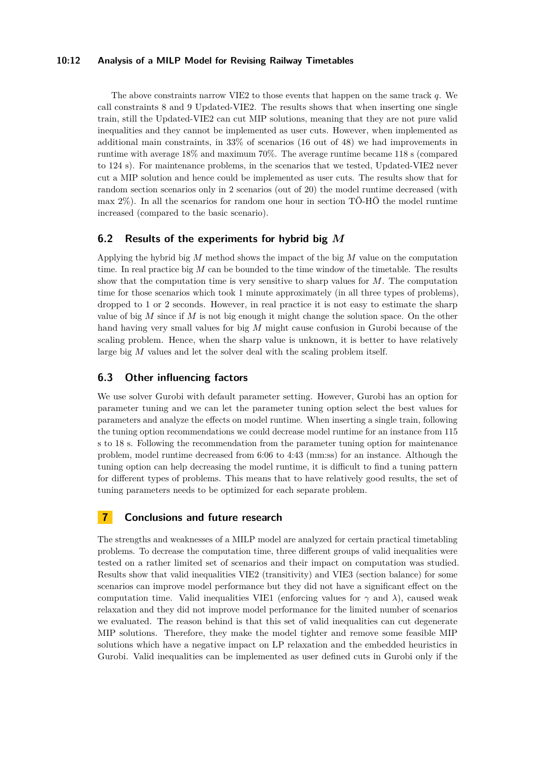### **10:12 Analysis of a MILP Model for Revising Railway Timetables**

The above constraints narrow VIE2 to those events that happen on the same track *q*. We call constraints [8](#page-10-1) and [9](#page-10-2) Updated-VIE2. The results shows that when inserting one single train, still the Updated-VIE2 can cut MIP solutions, meaning that they are not pure valid inequalities and they cannot be implemented as user cuts. However, when implemented as additional main constraints, in 33% of scenarios (16 out of 48) we had improvements in runtime with average 18% and maximum 70%. The average runtime became 118 s (compared to 124 s). For maintenance problems, in the scenarios that we tested, Updated-VIE2 never cut a MIP solution and hence could be implemented as user cuts. The results show that for random section scenarios only in 2 scenarios (out of 20) the model runtime decreased (with max 2%). In all the scenarios for random one hour in section TÖ-HÖ the model runtime increased (compared to the basic scenario).

# **6.2 Results of the experiments for hybrid big** *M*

Applying the hybrid big *M* method shows the impact of the big *M* value on the computation time. In real practice big *M* can be bounded to the time window of the timetable. The results show that the computation time is very sensitive to sharp values for *M*. The computation time for those scenarios which took 1 minute approximately (in all three types of problems), dropped to 1 or 2 seconds. However, in real practice it is not easy to estimate the sharp value of big *M* since if *M* is not big enough it might change the solution space. On the other hand having very small values for big *M* might cause confusion in Gurobi because of the scaling problem. Hence, when the sharp value is unknown, it is better to have relatively large big *M* values and let the solver deal with the scaling problem itself.

# **6.3 Other influencing factors**

We use solver Gurobi with default parameter setting. However, Gurobi has an option for parameter tuning and we can let the parameter tuning option select the best values for parameters and analyze the effects on model runtime. When inserting a single train, following the tuning option recommendations we could decrease model runtime for an instance from 115 s to 18 s. Following the recommendation from the parameter tuning option for maintenance problem, model runtime decreased from 6:06 to 4:43 (mm:ss) for an instance. Although the tuning option can help decreasing the model runtime, it is difficult to find a tuning pattern for different types of problems. This means that to have relatively good results, the set of tuning parameters needs to be optimized for each separate problem.

# **7 Conclusions and future research**

The strengths and weaknesses of a MILP model are analyzed for certain practical timetabling problems. To decrease the computation time, three different groups of valid inequalities were tested on a rather limited set of scenarios and their impact on computation was studied. Results show that valid inequalities VIE2 (transitivity) and VIE3 (section balance) for some scenarios can improve model performance but they did not have a significant effect on the computation time. Valid inequalities VIE1 (enforcing values for  $\gamma$  and  $\lambda$ ), caused weak relaxation and they did not improve model performance for the limited number of scenarios we evaluated. The reason behind is that this set of valid inequalities can cut degenerate MIP solutions. Therefore, they make the model tighter and remove some feasible MIP solutions which have a negative impact on LP relaxation and the embedded heuristics in Gurobi. Valid inequalities can be implemented as user defined cuts in Gurobi only if the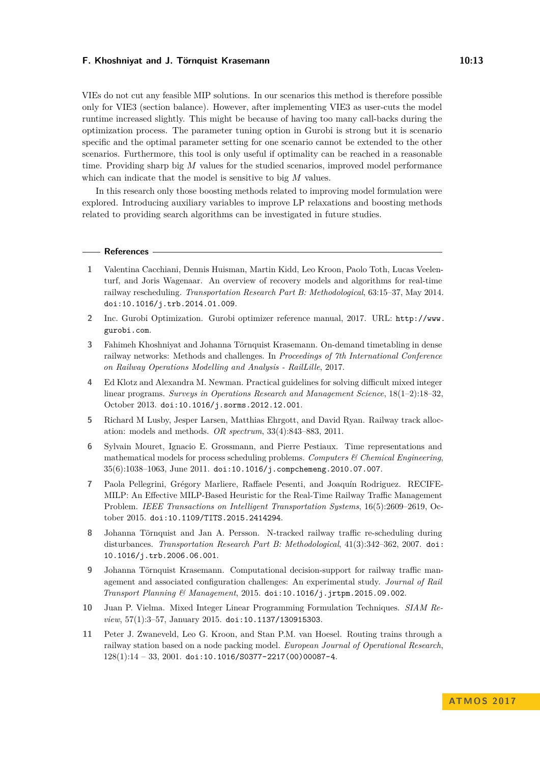VIEs do not cut any feasible MIP solutions. In our scenarios this method is therefore possible only for VIE3 (section balance). However, after implementing VIE3 as user-cuts the model runtime increased slightly. This might be because of having too many call-backs during the optimization process. The parameter tuning option in Gurobi is strong but it is scenario specific and the optimal parameter setting for one scenario cannot be extended to the other scenarios. Furthermore, this tool is only useful if optimality can be reached in a reasonable time. Providing sharp big *M* values for the studied scenarios, improved model performance which can indicate that the model is sensitive to big *M* values.

In this research only those boosting methods related to improving model formulation were explored. Introducing auxiliary variables to improve LP relaxations and boosting methods related to providing search algorithms can be investigated in future studies.

#### **References**

- <span id="page-12-7"></span>**1** Valentina Cacchiani, Dennis Huisman, Martin Kidd, Leo Kroon, Paolo Toth, Lucas Veelenturf, and Joris Wagenaar. An overview of recovery models and algorithms for real-time railway rescheduling. *Transportation Research Part B: Methodological*, 63:15–37, May 2014. [doi:10.1016/j.trb.2014.01.009](http://dx.doi.org/10.1016/j.trb.2014.01.009).
- <span id="page-12-10"></span>**2** Inc. Gurobi Optimization. Gurobi optimizer reference manual, 2017. URL: [http://www.](http://www.gurobi.com) [gurobi.com](http://www.gurobi.com).
- <span id="page-12-0"></span>**3** Fahimeh Khoshniyat and Johanna Törnquist Krasemann. On-demand timetabling in dense railway networks: Methods and challenges. In *Proceedings of 7th International Conference on Railway Operations Modelling and Analysis - RailLille*, 2017.
- <span id="page-12-2"></span>**4** Ed Klotz and Alexandra M. Newman. Practical guidelines for solving difficult mixed integer linear programs. *Surveys in Operations Research and Management Science*, 18(1–2):18–32, October 2013. [doi:10.1016/j.sorms.2012.12.001](http://dx.doi.org/10.1016/j.sorms.2012.12.001).
- <span id="page-12-6"></span>**5** Richard M Lusby, Jesper Larsen, Matthias Ehrgott, and David Ryan. Railway track allocation: models and methods. *OR spectrum*, 33(4):843–883, 2011.
- <span id="page-12-8"></span>**6** Sylvain Mouret, Ignacio E. Grossmann, and Pierre Pestiaux. Time representations and mathematical models for process scheduling problems. *Computers & Chemical Engineering*, 35(6):1038–1063, June 2011. [doi:10.1016/j.compchemeng.2010.07.007](http://dx.doi.org/10.1016/j.compchemeng.2010.07.007).
- <span id="page-12-4"></span>**7** Paola Pellegrini, Grégory Marliere, Raffaele Pesenti, and Joaquín Rodriguez. RECIFE-MILP: An Effective MILP-Based Heuristic for the Real-Time Railway Traffic Management Problem. *IEEE Transactions on Intelligent Transportation Systems*, 16(5):2609–2619, October 2015. [doi:10.1109/TITS.2015.2414294](http://dx.doi.org/10.1109/TITS.2015.2414294).
- <span id="page-12-1"></span>**8** Johanna Törnquist and Jan A. Persson. N-tracked railway traffic re-scheduling during disturbances. *Transportation Research Part B: Methodological*, 41(3):342–362, 2007. [doi:](http://dx.doi.org/10.1016/j.trb.2006.06.001) [10.1016/j.trb.2006.06.001](http://dx.doi.org/10.1016/j.trb.2006.06.001).
- <span id="page-12-5"></span>**9** Johanna Törnquist Krasemann. Computational decision-support for railway traffic management and associated configuration challenges: An experimental study. *Journal of Rail Transport Planning & Management*, 2015. [doi:10.1016/j.jrtpm.2015.09.002](http://dx.doi.org/10.1016/j.jrtpm.2015.09.002).
- <span id="page-12-3"></span>**10** Juan P. Vielma. Mixed Integer Linear Programming Formulation Techniques. *SIAM Review*, 57(1):3–57, January 2015. [doi:10.1137/130915303](http://dx.doi.org/10.1137/130915303).
- <span id="page-12-9"></span>**11** Peter J. Zwaneveld, Leo G. Kroon, and Stan P.M. van Hoesel. Routing trains through a railway station based on a node packing model. *European Journal of Operational Research*,  $128(1):14 - 33, 2001.$  [doi:10.1016/S0377-2217\(00\)00087-4](http://dx.doi.org/10.1016/S0377-2217(00)00087-4).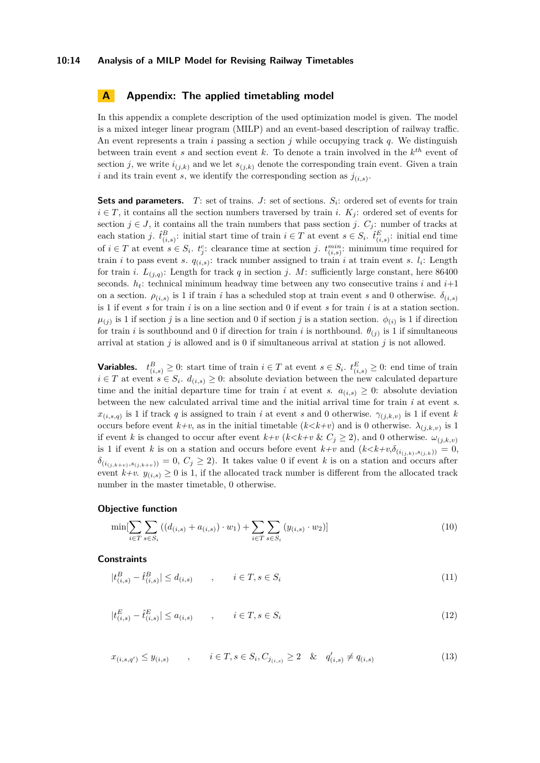#### **10:14 Analysis of a MILP Model for Revising Railway Timetables**

### <span id="page-13-0"></span>**A Appendix: The applied timetabling model**

In this appendix a complete description of the used optimization model is given. The model is a mixed integer linear program (MILP) and an event-based description of railway traffic. An event represents a train *i* passing a section *j* while occupying track *q*. We distinguish between train event *s* and section event *k*. To denote a train involved in the *k th* event of section *j*, we write  $i_{(j,k)}$  and we let  $s_{(j,k)}$  denote the corresponding train event. Given a train *i* and its train event *s*, we identify the corresponding section as  $j_{(i,s)}$ .

**Sets and parameters.** *T*: set of trains. *J*: set of sections. *S<sup>i</sup>* : ordered set of events for train  $i \in T$ , it contains all the section numbers traversed by train *i*.  $K_i$ : ordered set of events for section  $j \in J$ , it contains all the train numbers that pass section *j*.  $C_j$ : number of tracks at each station *j*.  $\hat{t}^B_{(i,s)}$ : initial start time of train  $i \in T$  at event  $s \in S_i$ .  $\hat{t}^E_{(i,s)}$ : initial end time of  $i \in T$  at event  $s \in S_i$ .  $t_j^c$ : clearance time at section *j*.  $t_{(i,s)}^{min}$ : minimum time required for train *i* to pass event *s*.  $q_{(i,s)}$ : track number assigned to train *i* at train event *s*.  $l_i$ : Length for train *i*.  $L_{(j,q)}$ : Length for track *q* in section *j*. *M*: sufficiently large constant, here 86400 seconds.  $h_t$ : technical minimum headway time between any two consecutive trains *i* and  $i+1$ on a section.  $\rho_{(i,s)}$  is 1 if train *i* has a scheduled stop at train event *s* and 0 otherwise.  $\delta_{(i,s)}$ is 1 if event *s* for train *i* is on a line section and 0 if event *s* for train *i* is at a station section.  $\mu_{(j)}$  is 1 if section *j* is a line section and 0 if section *j* is a station section.  $\phi_{(i)}$  is 1 if direction for train *i* is southbound and 0 if direction for train *i* is northbound.  $\theta_{(j)}$  is 1 if simultaneous arrival at station *j* is allowed and is 0 if simultaneous arrival at station *j* is not allowed.

**Variables.**  $t_{(i,s)}^B \geq 0$ : start time of train  $i \in T$  at event  $s \in S_i$ .  $t_{(i,s)}^E \geq 0$ : end time of train  $i \in T$  at event  $s \in S_i$ .  $d_{(i,s)} \geq 0$ : absolute deviation between the new calculated departure time and the initial departure time for train *i* at event *s*.  $a_{(i,s)} \geq 0$ : absolute deviation between the new calculated arrival time and the initial arrival time for train *i* at event *s*.  $x_{(i,s,q)}$  is 1 if track *q* is assigned to train *i* at event *s* and 0 otherwise.  $\gamma_{(j,k,v)}$  is 1 if event *k* occurs before event  $k+v$ , as in the initial timetable  $(k < k+v)$  and is 0 otherwise.  $\lambda_{(j,k,v)}$  is 1 if event *k* is changed to occur after event  $k+v$  ( $k < k+v$  &  $C_j \geq 2$ ), and 0 otherwise.  $\omega_{(j,k,v)}$ is 1 if event *k* is on a station and occurs before event  $k+v$  and  $(k < k+v, \delta_{(i_{(j,k)}, s_{(j,k)})}) = 0$ ,  $\delta_{(i_{(j,k+v)},s_{(j,k+v)})} = 0, C_j \geq 2$ . It takes value 0 if event *k* is on a station and occurs after event  $k+v$ .  $y_{(i,s)} \geq 0$  is 1, if the allocated track number is different from the allocated track number in the master timetable, 0 otherwise.

#### **Objective function**

$$
\min[\sum_{i \in T} \sum_{s \in S_i} ((d_{(i,s)} + a_{(i,s)}) \cdot w_1) + \sum_{i \in T} \sum_{s \in S_i} (y_{(i,s)} \cdot w_2)] \tag{10}
$$

### **Constraints**

$$
|t_{(i,s)}^B - \hat{t}_{(i,s)}^B| \le d_{(i,s)} \qquad , \qquad i \in T, s \in S_i \tag{11}
$$

$$
|t_{(i,s)}^E - \hat{t}_{(i,s)}^E| \le a_{(i,s)} \qquad , \qquad i \in T, s \in S_i \tag{12}
$$

$$
x_{(i,s,q')} \le y_{(i,s)} \qquad , \qquad i \in T, s \in S_i, C_{j_{(i,s)}} \ge 2 \quad \& \quad q'_{(i,s)} \ne q_{(i,s)} \tag{13}
$$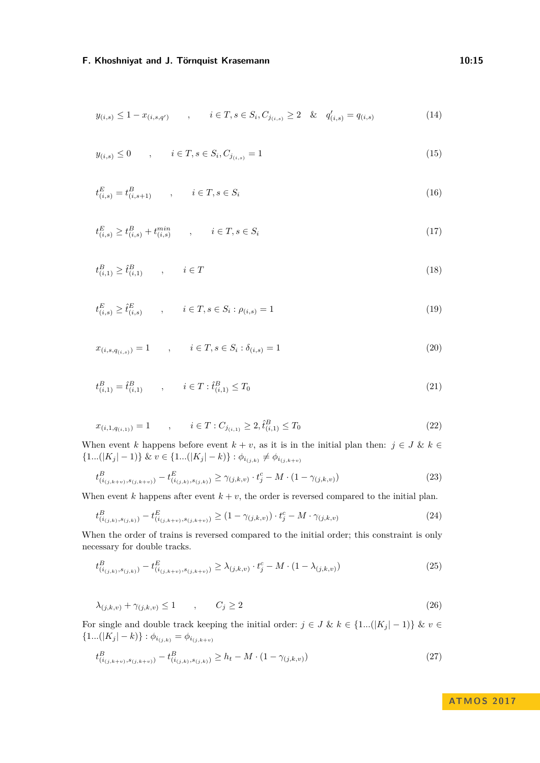$$
y_{(i,s)} \le 1 - x_{(i,s,q')} \qquad , \qquad i \in T, s \in S_i, C_{j_{(i,s)}} \ge 2 \quad \& \quad q'_{(i,s)} = q_{(i,s)} \tag{14}
$$

$$
y_{(i,s)} \le 0 \qquad , \qquad i \in T, s \in S_i, C_{j_{(i,s)}} = 1 \tag{15}
$$

$$
t_{(i,s)}^E = t_{(i,s+1)}^B, \qquad i \in T, s \in S_i
$$
\n(16)

$$
t_{(i,s)}^E \ge t_{(i,s)}^B + t_{(i,s)}^{min} \qquad , \qquad i \in T, s \in S_i \tag{17}
$$

$$
t_{(i,1)}^B \ge \hat{t}_{(i,1)}^B \qquad , \qquad i \in T \tag{18}
$$

$$
t_{(i,s)}^E \ge \hat{t}_{(i,s)}^E \qquad , \qquad i \in T, s \in S_i : \rho_{(i,s)} = 1 \tag{19}
$$

$$
x_{(i,s,q_{(i,s)})} = 1 \qquad , \qquad i \in T, s \in S_i : \delta_{(i,s)} = 1 \tag{20}
$$

$$
t_{(i,1)}^B = \hat{t}_{(i,1)}^B \qquad , \qquad i \in T : \hat{t}_{(i,1)}^B \le T_0 \tag{21}
$$

$$
x_{(i,1,q_{(i,1)})} = 1 \qquad , \qquad i \in T : C_{j_{(i,1)}} \ge 2, \hat{t}_{(i,1)}^B \le T_0 \tag{22}
$$

When event *k* happens before event  $k + v$ , as it is in the initial plan then:  $j \in J$  &  $k \in$  $\{1...(|K_j|-1)\}\&\ v\in\{1...(|K_j|-k)\}\ :\ \phi_{i_{(j,k)}}\neq\phi_{i_{(j,k+v)}}$ 

<span id="page-14-1"></span>
$$
t^{B}_{(i_{(j,k+v)},s_{(j,k+v)})} - t^{E}_{(i_{(j,k)},s_{(j,k)})} \geq \gamma_{(j,k,v)} \cdot t^{c}_{j} - M \cdot (1 - \gamma_{(j,k,v)}) \tag{23}
$$

When event  $k$  happens after event  $k + v$ , the order is reversed compared to the initial plan.

<span id="page-14-3"></span>
$$
t^{B}_{(i_{(j,k)},s_{(j,k)})} - t^{E}_{(i_{(j,k+v)},s_{(j,k+v)})} \ge (1 - \gamma_{(j,k,v)}) \cdot t^{c}_{j} - M \cdot \gamma_{(j,k,v)}
$$
(24)

When the order of trains is reversed compared to the initial order; this constraint is only necessary for double tracks.

<span id="page-14-0"></span>
$$
t^{B}_{(i_{(j,k)}, s_{(j,k)})} - t^{E}_{(i_{(j,k+v)}, s_{(j,k+v)})} \geq \lambda_{(j,k,v)} \cdot t^{c}_{j} - M \cdot (1 - \lambda_{(j,k,v)}) \tag{25}
$$

$$
\lambda_{(j,k,v)} + \gamma_{(j,k,v)} \le 1 \qquad , \qquad C_j \ge 2 \tag{26}
$$

For single and double track keeping the initial order:  $j \in J \& k \in \{1...(|K_j|-1)\}\& v \in$  $\{1...(|K_j|-k)\}\t: \phi_{i_{(j,k)}} = \phi_{i_{(j,k+v)}}$ 

<span id="page-14-4"></span>
$$
t^{B}_{(i_{(j,k+v)},s_{(j,k+v)})} - t^{B}_{(i_{(j,k)},s_{(j,k)})} \ge h_t - M \cdot (1 - \gamma_{(j,k,v)})
$$
\n
$$
(27)
$$

<span id="page-14-2"></span>**ATMO S 2 0 1 7**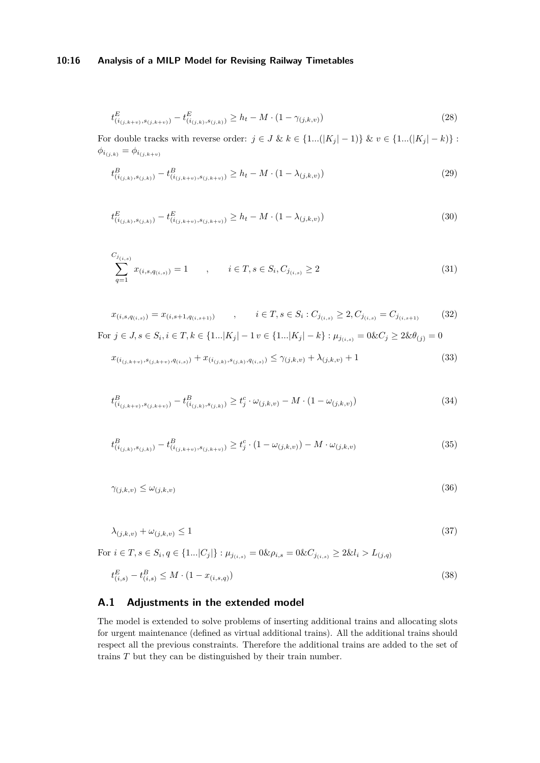### **10:16 Analysis of a MILP Model for Revising Railway Timetables**

<span id="page-15-2"></span>
$$
t_{(i_{(j,k+v)},s_{(j,k+v)})}^{E} - t_{(i_{(j,k)},s_{(j,k)})}^{E} \ge h_t - M \cdot (1 - \gamma_{(j,k,v)})
$$
\n(28)

For double tracks with reverse order:  $j \in J$  &  $k \in \{1...(|K_j|-1)\}$  &  $v \in \{1...(|K_j|-k)\}$ :  $\phi_{i_{(j,k)}} = \phi_{i_{(j,k+v)}}$ 

<span id="page-15-5"></span><span id="page-15-3"></span>
$$
t^{B}_{(i_{(j,k)}, s_{(j,k)})} - t^{B}_{(i_{(j,k+v)}, s_{(j,k+v)})} \ge h_t - M \cdot (1 - \lambda_{(j,k,v)})
$$
\n(29)

$$
t_{(i_{(j,k)},s_{(j,k)})}^E - t_{(i_{(j,k+v)},s_{(j,k+v)})}^E \ge h_t - M \cdot (1 - \lambda_{(j,k,v)})
$$
\n(30)

$$
\sum_{q=1}^{C_{j_{(i,s)}}} x_{(i,s,q_{(i,s)})} = 1 \qquad , \qquad i \in T, s \in S_i, C_{j_{(i,s)}} \ge 2 \tag{31}
$$

$$
x_{(i,s,q_{(i,s)})} = x_{(i,s+1,q_{(i,s+1)})}, \qquad i \in T, s \in S_i : C_{j_{(i,s)}} \ge 2, C_{j_{(i,s)}} = C_{j_{(i,s+1)}} \tag{32}
$$
  
For  $j \in J, s \in S_i, i \in T, k \in \{1...|K_j|-1 \le [1...|K_j|-k\} : \mu_{j_{(i,s)}} = 0 \& C_j \ge 2 \& \theta_{(j)} = 0$ 

<span id="page-15-1"></span><span id="page-15-0"></span>
$$
x_{(i_{(j,k+v)},s_{(j,k+v)},q_{(i,s)})} + x_{(i_{(j,k)},s_{(j,k)},q_{(i,s)})} \le \gamma_{(j,k,v)} + \lambda_{(j,k,v)} + 1
$$
\n(33)

<span id="page-15-4"></span>
$$
t^{B}_{(i_{(j,k+v)},s_{(j,k+v)})} - t^{B}_{(i_{(j,k)},s_{(j,k)})} \ge t^{c}_{j} \cdot \omega_{(j,k,v)} - M \cdot (1 - \omega_{(j,k,v)})
$$
\n(34)

$$
t^{B}_{(i_{(j,k)},s_{(j,k)})} - t^{B}_{(i_{(j,k+v)},s_{(j,k+v)})} \ge t^{c}_{j} \cdot (1 - \omega_{(j,k,v)}) - M \cdot \omega_{(j,k,v)}
$$
(35)

$$
\gamma_{(j,k,v)} \le \omega_{(j,k,v)}\tag{36}
$$

$$
\lambda_{(j,k,v)} + \omega_{(j,k,v)} \le 1 \tag{37}
$$

 $\text{For } i \in \mathcal{T}, s \in S_i, q \in \{1...|C_j|\} : \mu_{j(i,s)} = 0 \& \rho_{i,s} = 0 \& C_{j(i,s)} \geq 2 \& l_i > L_{(j,q)}$ *E*

$$
t_{(i,s)}^E - t_{(i,s)}^B \le M \cdot (1 - x_{(i,s,q)}) \tag{38}
$$

# **A.1 Adjustments in the extended model**

The model is extended to solve problems of inserting additional trains and allocating slots for urgent maintenance (defined as virtual additional trains). All the additional trains should respect all the previous constraints. Therefore the additional trains are added to the set of trains *T* but they can be distinguished by their train number.